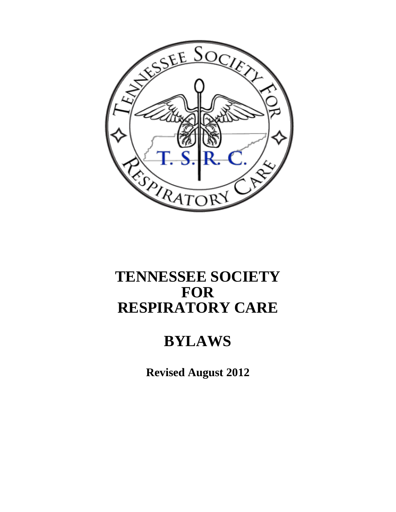

# **TENNESSEE SOCIETY FOR RESPIRATORY CARE**

# **BYLAWS**

**Revised August 2012**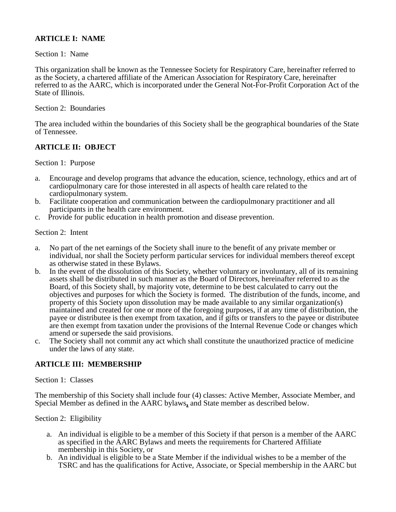# **ARTICLE I: NAME**

## Section 1: Name

This organization shall be known as the Tennessee Society for Respiratory Care, hereinafter referred to as the Society, a chartered affiliate of the American Association for Respiratory Care, hereinafter referred to as the AARC, which is incorporated under the General Not-For-Profit Corporation Act of the State of Illinois.

## Section 2: Boundaries

The area included within the boundaries of this Society shall be the geographical boundaries of the State of Tennessee.

# **ARTICLE II: OBJECT**

Section 1: Purpose

- a. Encourage and develop programs that advance the education, science, technology, ethics and art of cardiopulmonary care for those interested in all aspects of health care related to the cardiopulmonary system.
- b. Facilitate cooperation and communication between the cardiopulmonary practitioner and all participants in the health care environment.
- c. Provide for public education in health promotion and disease prevention.

## Section 2: Intent

- a. No part of the net earnings of the Society shall inure to the benefit of any private member or individual, nor shall the Society perform particular services for individual members thereof except as otherwise stated in these Bylaws.
- b. In the event of the dissolution of this Society, whether voluntary or involuntary, all of its remaining assets shall be distributed in such manner as the Board of Directors, hereinafter referred to as the Board, of this Society shall, by majority vote, determine to be best calculated to carry out the objectives and purposes for which the Society is formed. The distribution of the funds, income, and property of this Society upon dissolution may be made available to any similar organization(s) maintained and created for one or more of the foregoing purposes, if at any time of distribution, the payee or distributee is then exempt from taxation, and if gifts or transfers to the payee or distributee are then exempt from taxation under the provisions of the Internal Revenue Code or changes which amend or supersede the said provisions.
- c. The Society shall not commit any act which shall constitute the unauthorized practice of medicine under the laws of any state.

# **ARTICLE III: MEMBERSHIP**

#### Section 1: Classes

The membership of this Society shall include four (4) classes: Active Member, Associate Member, and Special Member as defined in the AARC bylaws**,** and State member as described below.

# Section 2: Eligibility

- a. An individual is eligible to be a member of this Society if that person is a member of the AARC as specified in the AARC Bylaws and meets the requirements for Chartered Affiliate membership in this Society, or
- b. An individual is eligible to be a State Member if the individual wishes to be a member of the TSRC and has the qualifications for Active, Associate, or Special membership in the AARC but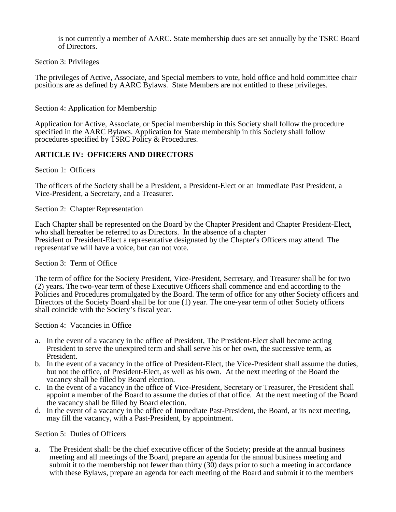is not currently a member of AARC. State membership dues are set annually by the TSRC Board of Directors.

## Section 3: Privileges

The privileges of Active, Associate, and Special members to vote, hold office and hold committee chair positions are as defined by AARC Bylaws. State Members are not entitled to these privileges.

## Section 4: Application for Membership

Application for Active, Associate, or Special membership in this Society shall follow the procedure specified in the AARC Bylaws. Application for State membership in this Society shall follow procedures specified by TSRC Policy & Procedures.

# **ARTICLE IV: OFFICERS AND DIRECTORS**

## Section 1: Officers

The officers of the Society shall be a President, a President-Elect or an Immediate Past President, a Vice-President, a Secretary, and a Treasurer.

#### Section 2: Chapter Representation

Each Chapter shall be represented on the Board by the Chapter President and Chapter President-Elect, who shall hereafter be referred to as Directors. In the absence of a chapter President or President-Elect a representative designated by the Chapter's Officers may attend. The representative will have a voice, but can not vote.

#### Section 3: Term of Office

The term of office for the Society President, Vice-President, Secretary, and Treasurer shall be for two (2) years**.** The two-year term of these Executive Officers shall commence and end according to the Policies and Procedures promulgated by the Board. The term of office for any other Society officers and Directors of the Society Board shall be for one (1) year. The one-year term of other Society officers shall coincide with the Society's fiscal year.

Section 4: Vacancies in Office

- a. In the event of a vacancy in the office of President, The President-Elect shall become acting President to serve the unexpired term and shall serve his or her own, the successive term, as President.
- b. In the event of a vacancy in the office of President-Elect, the Vice-President shall assume the duties, but not the office, of President-Elect, as well as his own. At the next meeting of the Board the vacancy shall be filled by Board election.
- c. In the event of a vacancy in the office of Vice-President, Secretary or Treasurer, the President shall appoint a member of the Board to assume the duties of that office. At the next meeting of the Board the vacancy shall be filled by Board election.
- d. In the event of a vacancy in the office of Immediate Past-President, the Board, at its next meeting, may fill the vacancy, with a Past-President, by appointment.

Section 5: Duties of Officers

a. The President shall: be the chief executive officer of the Society; preside at the annual business meeting and all meetings of the Board, prepare an agenda for the annual business meeting and submit it to the membership not fewer than thirty  $(30)$  days prior to such a meeting in accordance with these Bylaws, prepare an agenda for each meeting of the Board and submit it to the members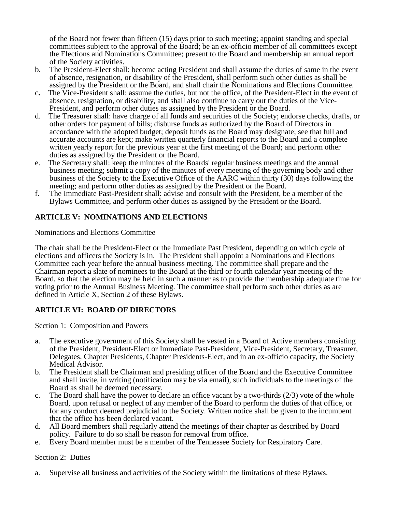of the Board not fewer than fifteen (15) days prior to such meeting; appoint standing and special committees subject to the approval of the Board; be an ex-officio member of all committees except the Elections and Nominations Committee; present to the Board and membership an annual report of the Society activities.

- b. The President-Elect shall: become acting President and shall assume the duties of same in the event of absence, resignation, or disability of the President, shall perform such other duties as shall be assigned by the President or the Board, and shall chair the Nominations and Elections Committee.
- The Vice-President shall: assume the duties, but not the office, of the President-Elect in the event of absence, resignation, or disability, and shall also continue to carry out the duties of the Vice-President, and perform other duties as assigned by the President or the Board.
- d. The Treasurer shall: have charge of all funds and securities of the Society; endorse checks, drafts, or other orders for payment of bills; disburse funds as authorized by the Board of Directors in accordance with the adopted budget; deposit funds as the Board may designate; see that full and accurate accounts are kept; make written quarterly financial reports to the Board and a complete written yearly report for the previous year at the first meeting of the Board; and perform other duties as assigned by the President or the Board.
- e. The Secretary shall: keep the minutes of the Boards' regular business meetings and the annual business meeting; submit a copy of the minutes of every meeting of the governing body and other business of the Society to the Executive Office of the AARC within thirty (30) days following the meeting; and perform other duties as assigned by the President or the Board.
- f. The Immediate Past-President shall: advise and consult with the President, be a member of the Bylaws Committee, and perform other duties as assigned by the President or the Board.

# **ARTICLE V: NOMINATIONS AND ELECTIONS**

Nominations and Elections Committee

The chair shall be the President-Elect or the Immediate Past President, depending on which cycle of elections and officers the Society is in. The President shall appoint a Nominations and Elections Committee each year before the annual business meeting. The committee shall prepare and the Chairman report a slate of nominees to the Board at the third or fourth calendar year meeting of the Board, so that the election may be held in such a manner as to provide the membership adequate time for voting prior to the Annual Business Meeting. The committee shall perform such other duties as are defined in Article X, Section 2 of these Bylaws.

# **ARTICLE VI: BOARD OF DIRECTORS**

Section 1: Composition and Powers

- a. The executive government of this Society shall be vested in a Board of Active members consisting of the President, President-Elect or Immediate Past-President, Vice-President, Secretary, Treasurer, Delegates, Chapter Presidents, Chapter Presidents-Elect, and in an ex-officio capacity, the Society Medical Advisor.
- b. The President shall be Chairman and presiding officer of the Board and the Executive Committee and shall invite, in writing (notification may be via email), such individuals to the meetings of the Board as shall be deemed necessary.
- c. The Board shall have the power to declare an office vacant by a two-thirds  $(2/3)$  vote of the whole Board, upon refusal or neglect of any member of the Board to perform the duties of that office, or for any conduct deemed prejudicial to the Society. Written notice shall be given to the incumbent that the office has been declared vacant.
- d. All Board members shall regularly attend the meetings of their chapter as described by Board policy. Failure to do so shall be reason for removal from office.
- e. Every Board member must be a member of the Tennessee Society for Respiratory Care.

Section 2: Duties

a. Supervise all business and activities of the Society within the limitations of these Bylaws.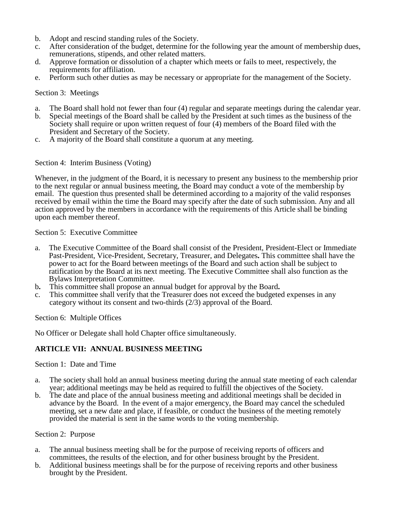- b. Adopt and rescind standing rules of the Society.
- c. After consideration of the budget, determine for the following year the amount of membership dues, remunerations, stipends, and other related matters.
- d. Approve formation or dissolution of a chapter which meets or fails to meet, respectively, the requirements for affiliation.
- e. Perform such other duties as may be necessary or appropriate for the management of the Society.

#### Section 3: Meetings

- a. The Board shall hold not fewer than four (4) regular and separate meetings during the calendar year.
- b. Special meetings of the Board shall be called by the President at such times as the business of the Society shall require or upon written request of four (4) members of the Board filed with the President and Secretary of the Society.
- c. A majority of the Board shall constitute a quorum at any meeting.

## Section 4: Interim Business (Voting)

Whenever, in the judgment of the Board, it is necessary to present any business to the membership prior to the next regular or annual business meeting, the Board may conduct a vote of the membership by email. The question thus presented shall be determined according to a majority of the valid responses received by email within the time the Board may specify after the date of such submission. Any and all action approved by the members in accordance with the requirements of this Article shall be binding upon each member thereof.

#### Section 5: Executive Committee

- a. The Executive Committee of the Board shall consist of the President, President-Elect or Immediate Past-President, Vice-President, Secretary, Treasurer, and Delegates**.** This committee shall have the power to act for the Board between meetings of the Board and such action shall be subject to ratification by the Board at its next meeting. The Executive Committee shall also function as the Bylaws Interpretation Committee.<br>This committee shall propose an annual budget for approval by the Board.
- 
- <sup>b</sup>**.** This committee shall propose an annual budget for approval by the Board**.** c. This committee shall verify that the Treasurer does not exceed the budgeted expenses in any category without its consent and two-thirds (2/3) approval of the Board.

Section 6: Multiple Offices

No Officer or Delegate shall hold Chapter office simultaneously.

# **ARTICLE VII: ANNUAL BUSINESS MEETING**

#### Section 1: Date and Time

- a. The society shall hold an annual business meeting during the annual state meeting of each calendar year; additional meetings may be held as required to fulfill the objectives of the Society.
- b. The date and place of the annual business meeting and additional meetings shall be decided in advance by the Board. In the event of a major emergency, the Board may cancel the scheduled meeting, set a new date and place, if feasible, or conduct the business of the meeting remotely provided the material is sent in the same words to the voting membership.

#### Section 2: Purpose

- a. The annual business meeting shall be for the purpose of receiving reports of officers and committees, the results of the election, and for other business brought by the President.
- b. Additional business meetings shall be for the purpose of receiving reports and other business brought by the President.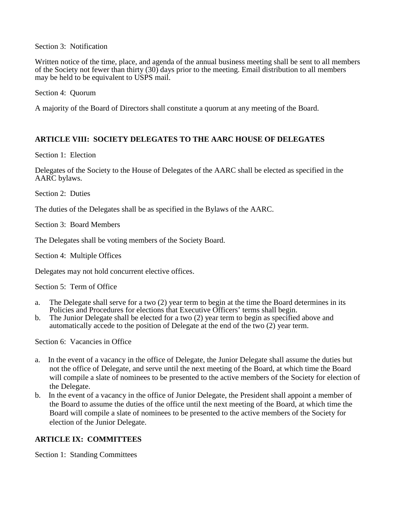Section 3: Notification

Written notice of the time, place, and agenda of the annual business meeting shall be sent to all members of the Society not fewer than thirty (30) days prior to the meeting. Email distribution to all members may be held to be equivalent to USPS mail.

Section 4: Quorum

A majority of the Board of Directors shall constitute a quorum at any meeting of the Board.

# **ARTICLE VIII: SOCIETY DELEGATES TO THE AARC HOUSE OF DELEGATES**

Section 1: Election

Delegates of the Society to the House of Delegates of the AARC shall be elected as specified in the AARC bylaws.

Section 2: Duties

The duties of the Delegates shall be as specified in the Bylaws of the AARC.

Section 3: Board Members

The Delegates shall be voting members of the Society Board.

Section 4: Multiple Offices

Delegates may not hold concurrent elective offices.

Section 5: Term of Office

- a. The Delegate shall serve for a two (2) year term to begin at the time the Board determines in its Policies and Procedures for elections that Executive Officers' terms shall begin.
- b. The Junior Delegate shall be elected for a two  $(2)$  year term to begin as specified above and automatically accede to the position of Delegate at the end of the two (2) year term.

Section 6: Vacancies in Office

- a. In the event of a vacancy in the office of Delegate, the Junior Delegate shall assume the duties but not the office of Delegate, and serve until the next meeting of the Board, at which time the Board will compile a slate of nominees to be presented to the active members of the Society for election of the Delegate.
- b. In the event of a vacancy in the office of Junior Delegate, the President shall appoint a member of the Board to assume the duties of the office until the next meeting of the Board, at which time the Board will compile a slate of nominees to be presented to the active members of the Society for election of the Junior Delegate.

# **ARTICLE IX: COMMITTEES**

Section 1: Standing Committees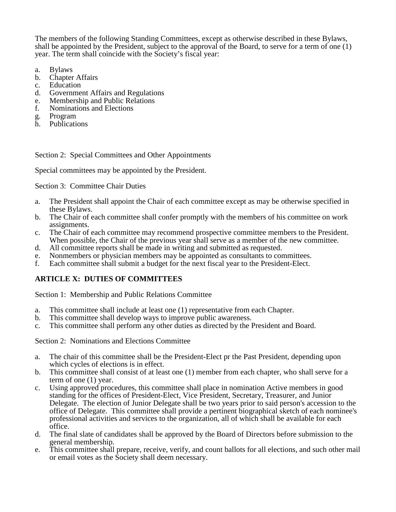The members of the following Standing Committees, except as otherwise described in these Bylaws, shall be appointed by the President, subject to the approval of the Board, to serve for a term of one (1) year. The term shall coincide with the Society's fiscal year:

- a. Bylaws
- b. Chapter Affairs
- c. Education<br>d. Governme
- Government Affairs and Regulations
- e. Membership and Public Relations<br>f. Nominations and Elections
- Nominations and Elections
- g. Program
- h. Publications

## Section 2: Special Committees and Other Appointments

Special committees may be appointed by the President.

Section 3: Committee Chair Duties

- a. The President shall appoint the Chair of each committee except as may be otherwise specified in these Bylaws.
- b. The Chair of each committee shall confer promptly with the members of his committee on work assignments.
- c. The Chair of each committee may recommend prospective committee members to the President. When possible, the Chair of the previous year shall serve as a member of the new committee.
- d. All committee reports shall be made in writing and submitted as requested.
- e. Nonmembers or physician members may be appointed as consultants to committees.<br>
Fach committee shall submit a budget for the next fiscal year to the President-Elect
- f. Each committee shall submit a budget for the next fiscal year to the President-Elect.

# **ARTICLE X: DUTIES OF COMMITTEES**

Section 1: Membership and Public Relations Committee

- a. This committee shall include at least one (1) representative from each Chapter.
- This committee shall develop ways to improve public awareness.
- c. This committee shall perform any other duties as directed by the President and Board.

Section 2: Nominations and Elections Committee

- a. The chair of this committee shall be the President-Elect pr the Past President, depending upon which cycles of elections is in effect.
- b. This committee shall consist of at least one (1) member from each chapter, who shall serve for a term of one (1) year.
- c. Using approved procedures, this committee shall place in nomination Active members in good standing for the offices of President-Elect, Vice President, Secretary, Treasurer, and Junior Delegate. The election of Junior Delegate shall be two years prior to said person's accession to the office of Delegate. This committee shall provide a pertinent biographical sketch of each nominee's professional activities and services to the organization, all of which shall be available for each office.
- d. The final slate of candidates shall be approved by the Board of Directors before submission to the general membership.
- e. This committee shall prepare, receive, verify, and count ballots for all elections, and such other mail or email votes as the Society shall deem necessary.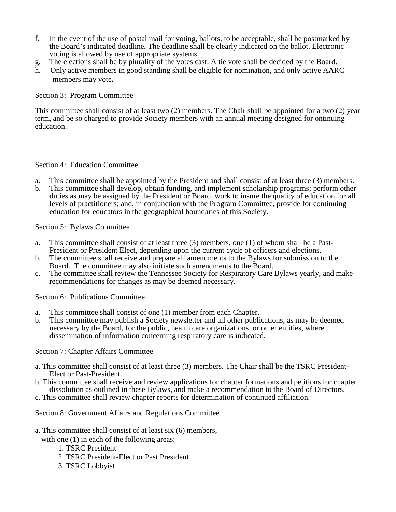- f. In the event of the use of postal mail for voting, ballots, to be acceptable, shall be postmarked by the Board's indicated deadline**.** The deadline shall be clearly indicated on the ballot. Electronic voting is allowed by use of appropriate systems.
- g. The elections shall be by plurality of the votes cast. A tie vote shall be decided by the Board.
- h. Only active members in good standing shall be eligible for nomination, and only active AARC members may vote**.**

## Section 3: Program Committee

This committee shall consist of at least two (2) members. The Chair shall be appointed for a two (2) year term, and be so charged to provide Society members with an annual meeting designed for ontinuing education.

## Section 4: Education Committee

- a. This committee shall be appointed by the President and shall consist of at least three (3) members.
- b. This committee shall develop, obtain funding, and implement scholarship programs; perform other duties as may be assigned by the President or Board, work to insure the quality of education for all levels of practitioners; and, in conjunction with the Program Committee, provide for continuing education for educators in the geographical boundaries of this Society.

Section 5: Bylaws Committee

- a. This committee shall consist of at least three (3) members, one (1) of whom shall be a Past-President or President Elect, depending upon the current cycle of officers and elections.
- b. The committee shall receive and prepare all amendments to the Bylaws for submission to the Board. The committee may also initiate such amendments to the Board.
- c. The committee shall review the Tennessee Society for Respiratory Care Bylaws yearly, and make recommendations for changes as may be deemed necessary.

Section 6: Publications Committee

- a. This committee shall consist of one (1) member from each Chapter.
- b. This committee may publish a Society newsletter and all other publications, as may be deemed necessary by the Board, for the public, health care organizations, or other entities, where dissemination of information concerning respiratory care is indicated.

Section 7: Chapter Affairs Committee

- a. This committee shall consist of at least three (3) members. The Chair shall be the TSRC President- Elect or Past-President.
- b. This committee shall receive and review applications for chapter formations and petitions for chapter dissolution as outlined in these Bylaws, and make a recommendation to the Board of Directors.
- c. This committee shall review chapter reports for determination of continued affiliation.
- Section 8: Government Affairs and Regulations Committee
- a. This committee shall consist of at least six (6) members,

with one  $(1)$  in each of the following areas:

- 1. TSRC President
- 2. TSRC President-Elect or Past President
- 3. TSRC Lobbyist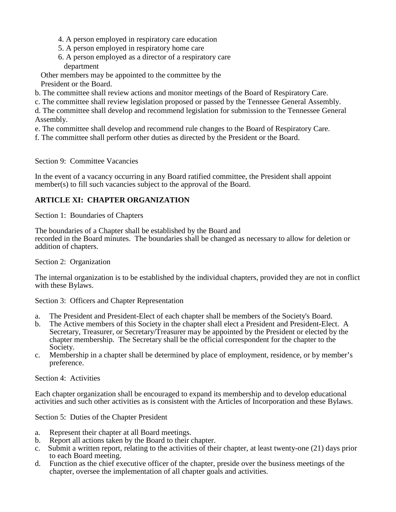- 4. A person employed in respiratory care education
- 5. A person employed in respiratory home care
- 6. A person employed as a director of a respiratory care department

 Other members may be appointed to the committee by the President or the Board.

- b. The committee shall review actions and monitor meetings of the Board of Respiratory Care.
- c. The committee shall review legislation proposed or passed by the Tennessee General Assembly.

d. The committee shall develop and recommend legislation for submission to the Tennessee General Assembly.

- e. The committee shall develop and recommend rule changes to the Board of Respiratory Care.
- f. The committee shall perform other duties as directed by the President or the Board.

Section 9: Committee Vacancies

In the event of a vacancy occurring in any Board ratified committee, the President shall appoint member(s) to fill such vacancies subject to the approval of the Board.

# **ARTICLE XI: CHAPTER ORGANIZATION**

Section 1: Boundaries of Chapters

The boundaries of a Chapter shall be established by the Board and recorded in the Board minutes. The boundaries shall be changed as necessary to allow for deletion or addition of chapters.

Section 2: Organization

The internal organization is to be established by the individual chapters, provided they are not in conflict with these Bylaws.

Section 3: Officers and Chapter Representation

- a. The President and President-Elect of each chapter shall be members of the Society's Board.
- b. The Active members of this Society in the chapter shall elect a President and President-Elect. A Secretary, Treasurer, or Secretary/Treasurer may be appointed by the President or elected by the chapter membership. The Secretary shall be the official correspondent for the chapter to the Society.
- c. Membership in a chapter shall be determined by place of employment, residence, or by member's preference.

Section 4: Activities

Each chapter organization shall be encouraged to expand its membership and to develop educational activities and such other activities as is consistent with the Articles of Incorporation and these Bylaws.

Section 5: Duties of the Chapter President

- a. Represent their chapter at all Board meetings.
- b. Report all actions taken by the Board to their chapter.
- c. Submit a written report, relating to the activities of their chapter, at least twenty-one (21) days prior to each Board meeting.
- d. Function as the chief executive officer of the chapter, preside over the business meetings of the chapter, oversee the implementation of all chapter goals and activities.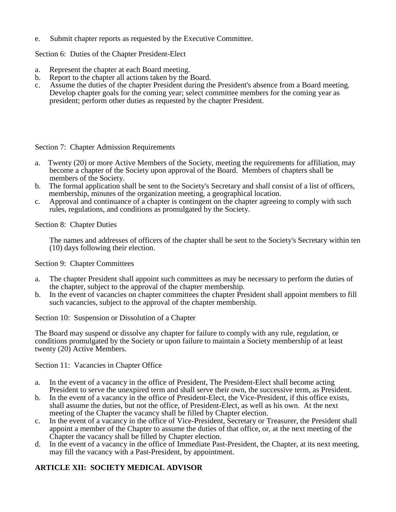e. Submit chapter reports as requested by the Executive Committee.

Section 6: Duties of the Chapter President-Elect

- a. Represent the chapter at each Board meeting.
- b. Report to the chapter all actions taken by the Board.
- c. Assume the duties of the chapter President during the President's absence from a Board meeting. Develop chapter goals for the coming year; select committee members for the coming year as president; perform other duties as requested by the chapter President.

## Section 7: Chapter Admission Requirements

- a. Twenty (20) or more Active Members of the Society, meeting the requirements for affiliation, may become a chapter of the Society upon approval of the Board. Members of chapters shall be members of the Society.
- b. The formal application shall be sent to the Society's Secretary and shall consist of a list of officers, membership, minutes of the organization meeting, a geographical location.
- c. Approval and continuance of a chapter is contingent on the chapter agreeing to comply with such rules, regulations, and conditions as promulgated by the Society.

Section 8: Chapter Duties

The names and addresses of officers of the chapter shall be sent to the Society's Secretary within ten (10) days following their election.

Section 9: Chapter Committees

- a. The chapter President shall appoint such committees as may be necessary to perform the duties of the chapter, subject to the approval of the chapter membership.
- b. In the event of vacancies on chapter committees the chapter President shall appoint members to fill such vacancies, subject to the approval of the chapter membership.

Section 10: Suspension or Dissolution of a Chapter

The Board may suspend or dissolve any chapter for failure to comply with any rule, regulation, or conditions promulgated by the Society or upon failure to maintain a Society membership of at least twenty (20) Active Members.

Section 11: Vacancies in Chapter Office

- a. In the event of a vacancy in the office of President, The President-Elect shall become acting President to serve the unexpired term and shall serve their own, the successive term, as President.
- b. In the event of a vacancy in the office of President-Elect, the Vice-President, if this office exists, shall assume the duties, but not the office, of President-Elect, as well as his own. At the next meeting of the Chapter the vacancy shall be filled by Chapter election.
- In the event of a vacancy in the office of Vice-President, Secretary or Treasurer, the President shall appoint a member of the Chapter to assume the duties of that office, or, at the next meeting of the Chapter the vacancy shall be filled by Chapter election.
- d. In the event of a vacancy in the office of Immediate Past-President, the Chapter, at its next meeting, may fill the vacancy with a Past-President, by appointment.

# **ARTICLE XII: SOCIETY MEDICAL ADVISOR**